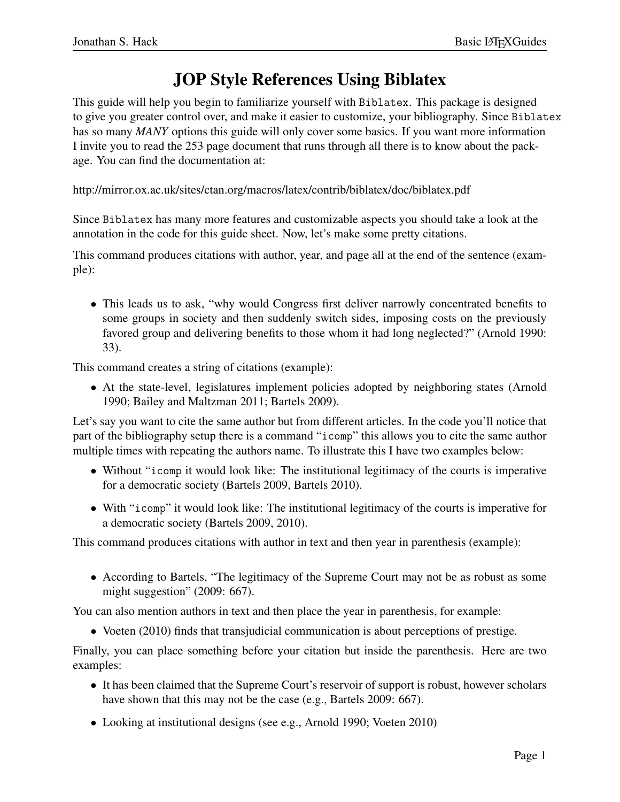## JOP Style References Using Biblatex

This guide will help you begin to familiarize yourself with Biblatex. This package is designed to give you greater control over, and make it easier to customize, your bibliography. Since Biblatex has so many *MANY* options this guide will only cover some basics. If you want more information I invite you to read the 253 page document that runs through all there is to know about the package. You can find the documentation at:

http://mirror.ox.ac.uk/sites/ctan.org/macros/latex/contrib/biblatex/doc/biblatex.pdf

Since Biblatex has many more features and customizable aspects you should take a look at the annotation in the code for this guide sheet. Now, let's make some pretty citations.

This command produces citations with author, year, and page all at the end of the sentence (example):

• This leads us to ask, "why would Congress first deliver narrowly concentrated benefits to some groups in society and then suddenly switch sides, imposing costs on the previously favored group and delivering benefits to those whom it had long neglected?" (Arnold 1990: 33).

This command creates a string of citations (example):

• At the state-level, legislatures implement policies adopted by neighboring states (Arnold 1990; Bailey and Maltzman 2011; Bartels 2009).

Let's say you want to cite the same author but from different articles. In the code you'll notice that part of the bibliography setup there is a command "icomp" this allows you to cite the same author multiple times with repeating the authors name. To illustrate this I have two examples below:

- Without "icomp it would look like: The institutional legitimacy of the courts is imperative for a democratic society (Bartels 2009, Bartels 2010).
- With "icomp" it would look like: The institutional legitimacy of the courts is imperative for a democratic society (Bartels 2009, 2010).

This command produces citations with author in text and then year in parenthesis (example):

• According to Bartels, "The legitimacy of the Supreme Court may not be as robust as some might suggestion" (2009: 667).

You can also mention authors in text and then place the year in parenthesis, for example:

• Voeten (2010) finds that transjudicial communication is about perceptions of prestige.

Finally, you can place something before your citation but inside the parenthesis. Here are two examples:

- It has been claimed that the Supreme Court's reservoir of support is robust, however scholars have shown that this may not be the case (e.g., Bartels 2009: 667).
- Looking at institutional designs (see e.g., Arnold 1990; Voeten 2010)